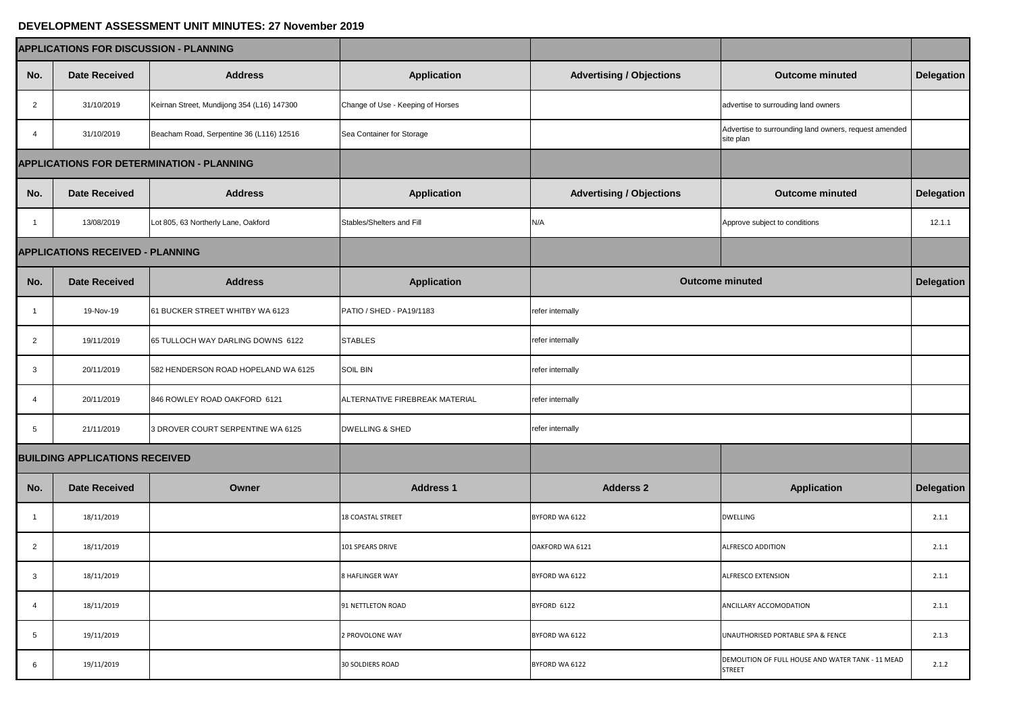## **DEVELOPMENT ASSESSMENT UNIT MINUTES: 27 November 2019**

| <b>APPLICATIONS FOR DISCUSSION - PLANNING</b>    |                                         |                                            |                                   |                                 |                                                                    |                   |
|--------------------------------------------------|-----------------------------------------|--------------------------------------------|-----------------------------------|---------------------------------|--------------------------------------------------------------------|-------------------|
| No.                                              | <b>Date Received</b>                    | <b>Address</b>                             | <b>Application</b>                | <b>Advertising / Objections</b> | <b>Outcome minuted</b>                                             | Delegation        |
| 2                                                | 31/10/2019                              | Keirnan Street, Mundijong 354 (L16) 147300 | Change of Use - Keeping of Horses |                                 | advertise to surrouding land owners                                |                   |
|                                                  | 31/10/2019                              | Beacham Road, Serpentine 36 (L116) 12516   | Sea Container for Storage         |                                 | Advertise to surrounding land owners, request amended<br>site plan |                   |
| <b>APPLICATIONS FOR DETERMINATION - PLANNING</b> |                                         |                                            |                                   |                                 |                                                                    |                   |
| No.                                              | <b>Date Received</b>                    | <b>Address</b>                             | <b>Application</b>                | <b>Advertising / Objections</b> | <b>Outcome minuted</b>                                             | <b>Delegation</b> |
|                                                  | 13/08/2019                              | Lot 805, 63 Northerly Lane, Oakford        | Stables/Shelters and Fill         | N/A                             | Approve subject to conditions                                      | 12.1.1            |
|                                                  | <b>APPLICATIONS RECEIVED - PLANNING</b> |                                            |                                   |                                 |                                                                    |                   |
| No.                                              | <b>Date Received</b>                    | <b>Address</b>                             | <b>Application</b>                | <b>Outcome minuted</b>          |                                                                    | <b>Delegation</b> |
|                                                  | 19-Nov-19                               | 61 BUCKER STREET WHITBY WA 6123            | PATIO / SHED - PA19/1183          | refer internally                |                                                                    |                   |
| $\overline{2}$                                   | 19/11/2019                              | 65 TULLOCH WAY DARLING DOWNS 6122          | <b>STABLES</b>                    | refer internally                |                                                                    |                   |
| $\mathbf{3}$                                     | 20/11/2019                              | 582 HENDERSON ROAD HOPELAND WA 6125        | <b>SOIL BIN</b>                   | refer internally                |                                                                    |                   |
| 4                                                | 20/11/2019                              | 846 ROWLEY ROAD OAKFORD 6121               | ALTERNATIVE FIREBREAK MATERIAL    | refer internally                |                                                                    |                   |
| 5                                                | 21/11/2019                              | 3 DROVER COURT SERPENTINE WA 6125          | <b>DWELLING &amp; SHED</b>        | refer internally                |                                                                    |                   |
| <b>BUILDING APPLICATIONS RECEIVED</b>            |                                         |                                            |                                   |                                 |                                                                    |                   |
| No.                                              | <b>Date Received</b>                    | <b>Owner</b>                               | <b>Address 1</b>                  | <b>Adderss 2</b>                | <b>Application</b>                                                 | Delegation        |
| $\overline{\mathbf{1}}$                          | 18/11/2019                              |                                            | <b>18 COASTAL STREET</b>          | BYFORD WA 6122                  | <b>DWELLING</b>                                                    | 2.1.1             |
| $\overline{2}$                                   | 18/11/2019                              |                                            | 101 SPEARS DRIVE                  | OAKFORD WA 6121                 | ALFRESCO ADDITION                                                  | 2.1.1             |
| $\mathbf{3}$                                     | 18/11/2019                              |                                            | <b>8 HAFLINGER WAY</b>            | BYFORD WA 6122                  | <b>ALFRESCO EXTENSION</b>                                          | 2.1.1             |
| 4                                                | 18/11/2019                              |                                            | 91 NETTLETON ROAD                 | BYFORD 6122                     | ANCILLARY ACCOMODATION                                             | 2.1.1             |
| 5                                                | 19/11/2019                              |                                            | 2 PROVOLONE WAY                   | BYFORD WA 6122                  | UNAUTHORISED PORTABLE SPA & FENCE                                  | 2.1.3             |
| 6                                                | 19/11/2019                              |                                            | <b>30 SOLDIERS ROAD</b>           | BYFORD WA 6122                  | DEMOLITION OF FULL HOUSE AND WATER TANK - 11 MEAD<br><b>STREET</b> | 2.1.2             |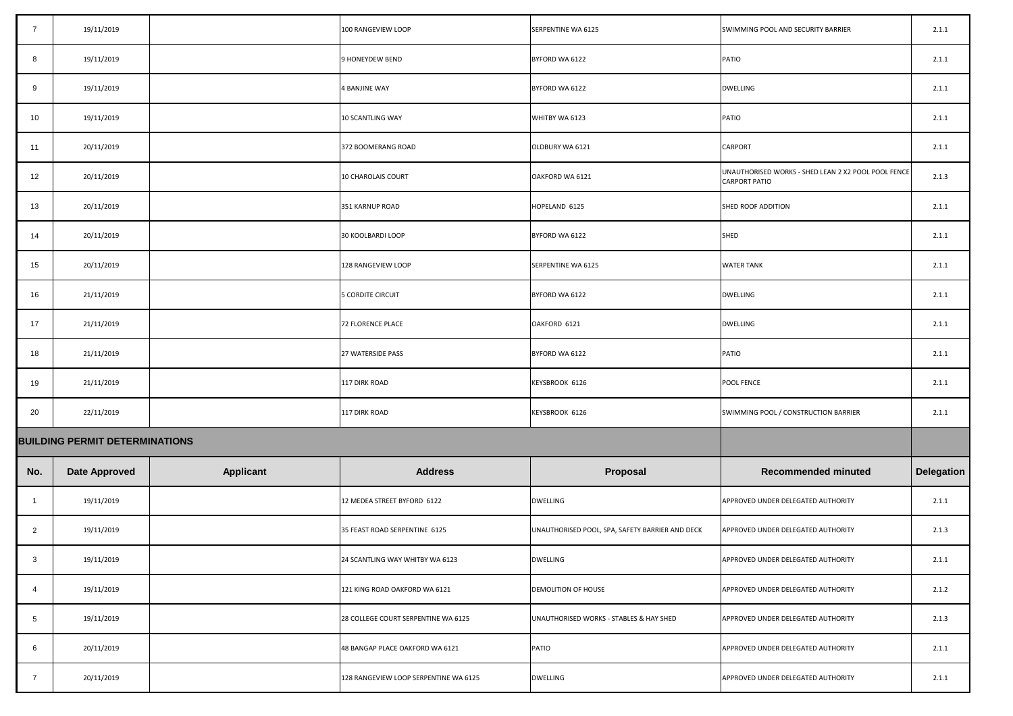|                                       | 19/11/2019           |                  | 100 RANGEVIEW LOOP                    | <b>SERPENTINE WA 6125</b>                       | SWIMMING POOL AND SECURITY BARRIER                                          | 2.1.1      |
|---------------------------------------|----------------------|------------------|---------------------------------------|-------------------------------------------------|-----------------------------------------------------------------------------|------------|
| 8                                     | 19/11/2019           |                  | 9 HONEYDEW BEND                       | BYFORD WA 6122                                  | PATIO                                                                       | 2.1.1      |
| 9                                     | 19/11/2019           |                  | 4 BANJINE WAY                         | BYFORD WA 6122                                  | <b>DWELLING</b>                                                             | 2.1.1      |
| 10                                    | 19/11/2019           |                  | <b>10 SCANTLING WAY</b>               | WHITBY WA 6123                                  | PATIO                                                                       | 2.1.1      |
| 11                                    | 20/11/2019           |                  | 372 BOOMERANG ROAD                    | OLDBURY WA 6121                                 | <b>CARPORT</b>                                                              | 2.1.1      |
| 12                                    | 20/11/2019           |                  | 10 CHAROLAIS COURT                    | OAKFORD WA 6121                                 | UNAUTHORISED WORKS - SHED LEAN 2 X2 POOL POOL FENCE<br><b>CARPORT PATIO</b> | 2.1.3      |
| 13                                    | 20/11/2019           |                  | 351 KARNUP ROAD                       | HOPELAND 6125                                   | SHED ROOF ADDITION                                                          | 2.1.1      |
| 14                                    | 20/11/2019           |                  | 30 KOOLBARDI LOOP                     | BYFORD WA 6122                                  | <b>SHED</b>                                                                 | 2.1.1      |
| 15                                    | 20/11/2019           |                  | 128 RANGEVIEW LOOP                    | SERPENTINE WA 6125                              | <b>WATER TANK</b>                                                           | 2.1.1      |
| 16                                    | 21/11/2019           |                  | <b>5 CORDITE CIRCUIT</b>              | BYFORD WA 6122                                  | <b>DWELLING</b>                                                             | 2.1.1      |
| 17                                    | 21/11/2019           |                  | 72 FLORENCE PLACE                     | OAKFORD 6121                                    | <b>DWELLING</b>                                                             | 2.1.1      |
| 18                                    | 21/11/2019           |                  | 27 WATERSIDE PASS                     | BYFORD WA 6122                                  | PATIO                                                                       | 2.1.1      |
| 19                                    | 21/11/2019           |                  | 117 DIRK ROAD                         | KEYSBROOK 6126                                  | <b>POOL FENCE</b>                                                           | 2.1.1      |
| 20                                    | 22/11/2019           |                  | 117 DIRK ROAD                         | KEYSBROOK 6126                                  | SWIMMING POOL / CONSTRUCTION BARRIER                                        | 2.1.1      |
| <b>BUILDING PERMIT DETERMINATIONS</b> |                      |                  |                                       |                                                 |                                                                             |            |
| No.                                   | <b>Date Approved</b> | <b>Applicant</b> | <b>Address</b>                        | <b>Proposal</b>                                 | <b>Recommended minuted</b>                                                  | Delegation |
|                                       | 19/11/2019           |                  | 12 MEDEA STREET BYFORD 6122           | <b>DWELLING</b>                                 | APPROVED UNDER DELEGATED AUTHORITY                                          | 2.1.1      |
| $\overline{2}$                        | 19/11/2019           |                  | 35 FEAST ROAD SERPENTINE 6125         | UNAUTHORISED POOL, SPA, SAFETY BARRIER AND DECK | APPROVED UNDER DELEGATED AUTHORITY                                          | 2.1.3      |
| 3                                     | 19/11/2019           |                  | 24 SCANTLING WAY WHITBY WA 6123       | <b>DWELLING</b>                                 | APPROVED UNDER DELEGATED AUTHORITY                                          | 2.1.1      |
| 4                                     | 19/11/2019           |                  | 121 KING ROAD OAKFORD WA 6121         | <b>DEMOLITION OF HOUSE</b>                      | APPROVED UNDER DELEGATED AUTHORITY                                          | 2.1.2      |
| 5                                     | 19/11/2019           |                  | 28 COLLEGE COURT SERPENTINE WA 6125   | UNAUTHORISED WORKS - STABLES & HAY SHED         | APPROVED UNDER DELEGATED AUTHORITY                                          | 2.1.3      |
| 6                                     | 20/11/2019           |                  | 48 BANGAP PLACE OAKFORD WA 6121       | <b>PATIO</b>                                    | APPROVED UNDER DELEGATED AUTHORITY                                          | 2.1.1      |
|                                       | 20/11/2019           |                  | 128 RANGEVIEW LOOP SERPENTINE WA 6125 | <b>DWELLING</b>                                 | APPROVED UNDER DELEGATED AUTHORITY                                          | 2.1.1      |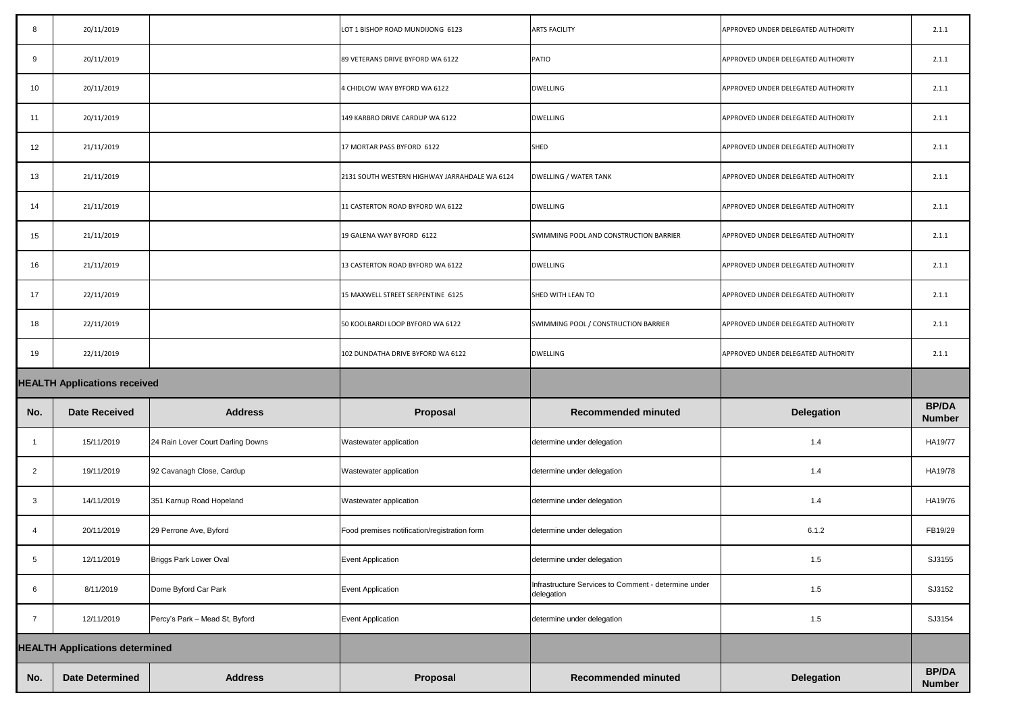| No.                                 | <b>Date Determined</b>                | <b>Address</b>                    | Proposal                                      | <b>Recommended minuted</b>                                         | <b>Delegation</b>                  | <b>BP/DA</b><br><b>Number</b> |
|-------------------------------------|---------------------------------------|-----------------------------------|-----------------------------------------------|--------------------------------------------------------------------|------------------------------------|-------------------------------|
|                                     | <b>HEALTH Applications determined</b> |                                   |                                               |                                                                    |                                    |                               |
| 7                                   | 12/11/2019                            | Percy's Park - Mead St, Byford    | <b>Event Application</b>                      | determine under delegation                                         | 1.5                                | SJ3154                        |
| 6                                   | 8/11/2019                             | Dome Byford Car Park              | Event Application                             | Infrastructure Services to Comment - determine under<br>delegation | 1.5                                | SJ3152                        |
| $5\overline{)}$                     | 12/11/2019                            | <b>Briggs Park Lower Oval</b>     | <b>Event Application</b>                      | determine under delegation                                         | 1.5                                | SJ3155                        |
| $\overline{4}$                      | 20/11/2019                            | 29 Perrone Ave, Byford            | Food premises notification/registration form  | determine under delegation                                         | 6.1.2                              | FB19/29                       |
| $\mathbf{3}$                        | 14/11/2019                            | 351 Karnup Road Hopeland          | Wastewater application                        | determine under delegation                                         | 1.4                                | HA19/76                       |
| $\overline{2}$                      | 19/11/2019                            | 92 Cavanagh Close, Cardup         | Wastewater application                        | determine under delegation                                         | 1.4                                | HA19/78                       |
|                                     | 15/11/2019                            | 24 Rain Lover Court Darling Downs | Wastewater application                        | determine under delegation                                         | 1.4                                | HA19/77                       |
| No.                                 | <b>Date Received</b>                  | <b>Address</b>                    | Proposal                                      | <b>Recommended minuted</b>                                         | <b>Delegation</b>                  | <b>BP/DA</b><br><b>Number</b> |
| <b>HEALTH Applications received</b> |                                       |                                   |                                               |                                                                    |                                    |                               |
| 19                                  | 22/11/2019                            |                                   | 102 DUNDATHA DRIVE BYFORD WA 6122             | <b>DWELLING</b>                                                    | APPROVED UNDER DELEGATED AUTHORITY | 2.1.1                         |
| 18                                  | 22/11/2019                            |                                   | 50 KOOLBARDI LOOP BYFORD WA 6122              | SWIMMING POOL / CONSTRUCTION BARRIER                               | APPROVED UNDER DELEGATED AUTHORITY | 2.1.1                         |
| 17                                  | 22/11/2019                            |                                   | 15 MAXWELL STREET SERPENTINE 6125             | SHED WITH LEAN TO                                                  | APPROVED UNDER DELEGATED AUTHORITY | 2.1.1                         |
| 16                                  | 21/11/2019                            |                                   | 13 CASTERTON ROAD BYFORD WA 6122              | <b>DWELLING</b>                                                    | APPROVED UNDER DELEGATED AUTHORITY | 2.1.1                         |
| 15                                  | 21/11/2019                            |                                   | 19 GALENA WAY BYFORD 6122                     | SWIMMING POOL AND CONSTRUCTION BARRIER                             | APPROVED UNDER DELEGATED AUTHORITY | 2.1.1                         |
| 14                                  | 21/11/2019                            |                                   | 11 CASTERTON ROAD BYFORD WA 6122              | <b>DWELLING</b>                                                    | APPROVED UNDER DELEGATED AUTHORITY | 2.1.1                         |
| 13                                  | 21/11/2019                            |                                   | 2131 SOUTH WESTERN HIGHWAY JARRAHDALE WA 6124 | <b>DWELLING / WATER TANK</b>                                       | APPROVED UNDER DELEGATED AUTHORITY | 2.1.1                         |
| 12                                  | 21/11/2019                            |                                   | 17 MORTAR PASS BYFORD 6122                    | SHED                                                               | APPROVED UNDER DELEGATED AUTHORITY | 2.1.1                         |
| 11                                  | 20/11/2019                            |                                   | 149 KARBRO DRIVE CARDUP WA 6122               | <b>DWELLING</b>                                                    | APPROVED UNDER DELEGATED AUTHORITY | 2.1.1                         |
| 10                                  | 20/11/2019                            |                                   | 4 CHIDLOW WAY BYFORD WA 6122                  | <b>DWELLING</b>                                                    | APPROVED UNDER DELEGATED AUTHORITY | 2.1.1                         |
| 9                                   | 20/11/2019                            |                                   | 89 VETERANS DRIVE BYFORD WA 6122              | PATIO                                                              | APPROVED UNDER DELEGATED AUTHORITY | 2.1.1                         |
| 8                                   | 20/11/2019                            |                                   | LOT 1 BISHOP ROAD MUNDIJONG 6123              | <b>ARTS FACILITY</b>                                               | APPROVED UNDER DELEGATED AUTHORITY | 2.1.1                         |